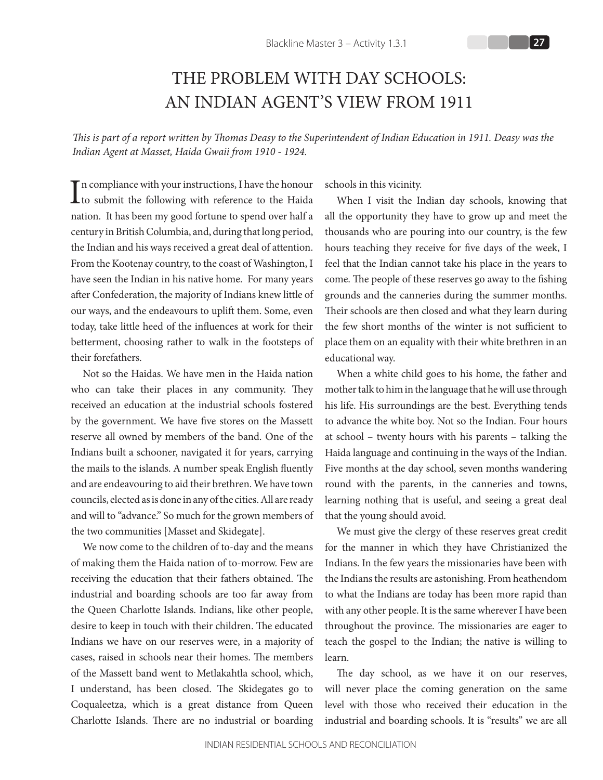## THE PROBLEM WITH DAY SCHOOLS: AN INDIAN AGENT'S VIEW FROM 1911

*This is part of a report written by Thomas Deasy to the Superintendent of Indian Education in 1911. Deasy was the Indian Agent at Masset, Haida Gwaii from 1910 - 1924.*

 $\prod$ n compliance with your instructions, I have the honour<br>to submit the following with reference to the Haida Th compliance with your instructions, I have the honour nation. It has been my good fortune to spend over half a century in British Columbia, and, during that long period, the Indian and his ways received a great deal of attention. From the Kootenay country, to the coast of Washington, I have seen the Indian in his native home. For many years after Confederation, the majority of Indians knew little of our ways, and the endeavours to uplift them. Some, even today, take little heed of the influences at work for their betterment, choosing rather to walk in the footsteps of their forefathers.

Not so the Haidas. We have men in the Haida nation who can take their places in any community. They received an education at the industrial schools fostered by the government. We have five stores on the Massett reserve all owned by members of the band. One of the Indians built a schooner, navigated it for years, carrying the mails to the islands. A number speak English fluently and are endeavouring to aid their brethren. We have town councils, elected as is done in any of the cities. All are ready and will to "advance." So much for the grown members of the two communities [Masset and Skidegate].

We now come to the children of to-day and the means of making them the Haida nation of to-morrow. Few are receiving the education that their fathers obtained. The industrial and boarding schools are too far away from the Queen Charlotte Islands. Indians, like other people, desire to keep in touch with their children. The educated Indians we have on our reserves were, in a majority of cases, raised in schools near their homes. The members of the Massett band went to Metlakahtla school, which, I understand, has been closed. The Skidegates go to Coqualeetza, which is a great distance from Queen Charlotte Islands. There are no industrial or boarding

schools in this vicinity.

When I visit the Indian day schools, knowing that all the opportunity they have to grow up and meet the thousands who are pouring into our country, is the few hours teaching they receive for five days of the week, I feel that the Indian cannot take his place in the years to come. The people of these reserves go away to the fishing grounds and the canneries during the summer months. Their schools are then closed and what they learn during the few short months of the winter is not sufficient to place them on an equality with their white brethren in an educational way.

When a white child goes to his home, the father and mother talk to him in the language that he will use through his life. His surroundings are the best. Everything tends to advance the white boy. Not so the Indian. Four hours at school – twenty hours with his parents – talking the Haida language and continuing in the ways of the Indian. Five months at the day school, seven months wandering round with the parents, in the canneries and towns, learning nothing that is useful, and seeing a great deal that the young should avoid.

We must give the clergy of these reserves great credit for the manner in which they have Christianized the Indians. In the few years the missionaries have been with the Indians the results are astonishing. From heathendom to what the Indians are today has been more rapid than with any other people. It is the same wherever I have been throughout the province. The missionaries are eager to teach the gospel to the Indian; the native is willing to learn.

The day school, as we have it on our reserves, will never place the coming generation on the same level with those who received their education in the industrial and boarding schools. It is "results" we are all